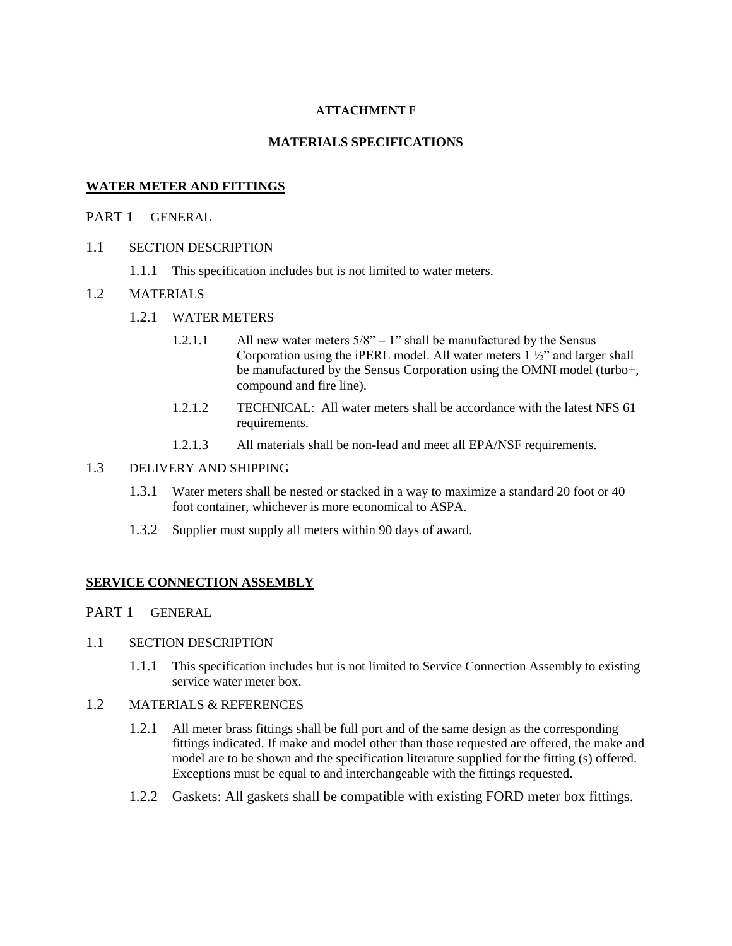# **ATTACHMENT F**

# **MATERIALS SPECIFICATIONS**

# **WATER METER AND FITTINGS**

# PART 1 GENERAL

- 1.1 SECTION DESCRIPTION
	- 1.1.1 This specification includes but is not limited to water meters.

## 1.2 MATERIALS

- 1.2.1 WATER METERS
	- 1.2.1.1 All new water meters  $5/8$ " 1" shall be manufactured by the Sensus Corporation using the iPERL model. All water meters  $1\frac{1}{2}$  and larger shall be manufactured by the Sensus Corporation using the OMNI model (turbo+, compound and fire line).
	- 1.2.1.2 TECHNICAL: All water meters shall be accordance with the latest NFS 61 requirements.
	- 1.2.1.3 All materials shall be non-lead and meet all EPA/NSF requirements.

# 1.3 DELIVERY AND SHIPPING

- 1.3.1 Water meters shall be nested or stacked in a way to maximize a standard 20 foot or 40 foot container, whichever is more economical to ASPA.
- 1.3.2 Supplier must supply all meters within 90 days of award.

## **SERVICE CONNECTION ASSEMBLY**

- PART 1 GENERAL
- 1.1 SECTION DESCRIPTION
	- 1.1.1 This specification includes but is not limited to Service Connection Assembly to existing service water meter box.
- 1.2 MATERIALS & REFERENCES
	- 1.2.1 All meter brass fittings shall be full port and of the same design as the corresponding fittings indicated. If make and model other than those requested are offered, the make and model are to be shown and the specification literature supplied for the fitting (s) offered. Exceptions must be equal to and interchangeable with the fittings requested.
	- 1.2.2 Gaskets: All gaskets shall be compatible with existing FORD meter box fittings.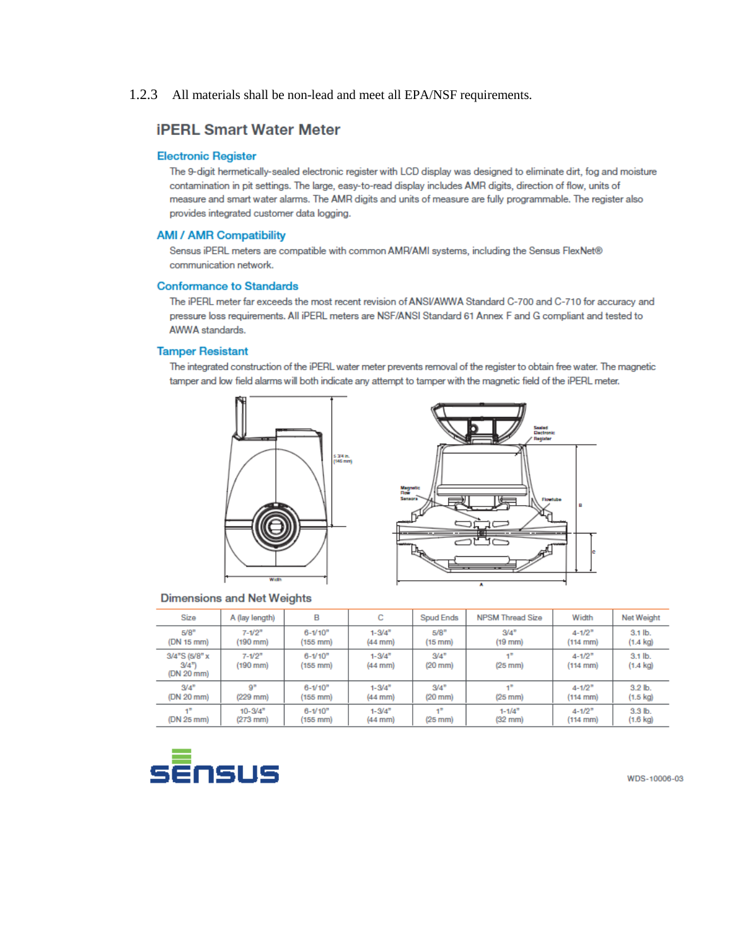## 1.2.3 All materials shall be non-lead and meet all EPA/NSF requirements.

## **iPERL Smart Water Meter**

## **Electronic Register**

The 9-digit hermetically-sealed electronic register with LCD display was designed to eliminate dirt, fog and moisture contamination in pit settings. The large, easy-to-read display includes AMR digits, direction of flow, units of measure and smart water alarms. The AMR digits and units of measure are fully programmable. The register also provides integrated customer data logging.

## **AMI / AMR Compatibility**

Sensus iPERL meters are compatible with common AMR/AMI systems, including the Sensus FlexNet® communication network.

## **Conformance to Standards**

The iPERL meter far exceeds the most recent revision of ANSI/AWWA Standard C-700 and C-710 for accuracy and pressure loss requirements. All iPERL meters are NSF/ANSI Standard 61 Annex F and G compliant and tested to AWWA standards.

#### **Tamper Resistant**

The integrated construction of the iPERL water meter prevents removal of the register to obtain free water. The magnetic tamper and low field alarms will both indicate any attempt to tamper with the magnetic field of the iPERL meter.





## **Dimensions and Net Weights**

| Size                                                                  | A (lay length)                     | в                                   | с                                      | Spud Ends                        | <b>NPSM Thread Size</b> | Width                                          | Net Weight                      |
|-----------------------------------------------------------------------|------------------------------------|-------------------------------------|----------------------------------------|----------------------------------|-------------------------|------------------------------------------------|---------------------------------|
| 5/8"                                                                  | $7 - 1/2^n$                        | $6 - 1/10n$                         | $1 - 3/4$ <sup>n</sup>                 | 5/8"                             | $3/4^{n}$               | $4 - 1/2$ <sup>n</sup>                         | $3.1$ lb.                       |
| (DN 15 mm)                                                            | (190 mm)                           | $(155 \, \text{mm})$                | $(44$ mm $)$                           | $(15$ mm $)$                     | $(19$ mm $)$            | $(114 \text{ mm})$                             | $(1.4 \text{ kg})$              |
| $3/4$ <sup>n</sup> S $(5/8$ <sup>n</sup> x<br>$3/4^{2}$<br>(DN 20 mm) | $7 - 1/2$ <sup>n</sup><br>(190 mm) | $6 - 1/10n$<br>$(155 \, \text{mm})$ | $1 - 3/4$ <sup>n</sup><br>$(44$ mm $)$ | $3/4^{2}$<br>$(20 \, \text{mm})$ | $-2$<br>$(25$ mm $)$    | $4 - 1/2$ <sup>n</sup><br>$(114 \, \text{mm})$ | $3.1$ lb.<br>$(1.4 \text{ kg})$ |
| $3/4^{n}$                                                             | $\mathbf{Q}^{\mathbf{H}}$          | $6 - 1/10n$                         | $1 - 3/4$ <sup>n</sup>                 | $3/4^{2}$                        | →■                      | $4 - 1/2$ <sup>n</sup>                         | 3.2 <sub>lb</sub>               |
| (DN 20 mm)                                                            | $(229$ mm)                         | (155 mm)                            | $(44$ mm)                              | $(20$ mm $)$                     | $(25$ mm $)$            | $(114 \text{ mm})$                             | $(1.5 \text{ kg})$              |
| 47                                                                    | $10 - 3/4$ <sup>n</sup>            | $6 - 1/10n$                         | $1 - 3/4$ <sup>n</sup>                 | $-2$                             | $1 - 1/An$              | $4 - 1/2$ <sup>n</sup>                         | 3.3 <sub>lb</sub>               |
| (DN 25 mm)                                                            | $(273$ mm $)$                      | (155 mm)                            | $(44$ mm)                              | $(25$ mm $)$                     | $(32$ mm $)$            | $(114 \text{ mm})$                             | $(1.6 \text{ kg})$              |



WDS-10006-03